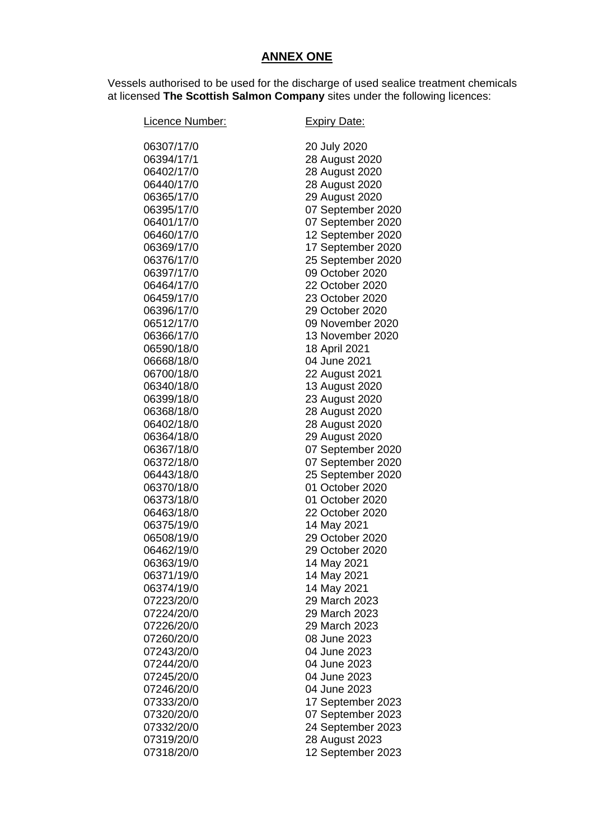## **ANNEX ONE**

Vessels authorised to be used for the discharge of used sealice treatment chemicals at licensed **The Scottish Salmon Company** sites under the following licences:

| Licence Number:          | <b>Expiry Date:</b>          |
|--------------------------|------------------------------|
| 06307/17/0               | 20 July 2020                 |
| 06394/17/1               | 28 August 2020               |
| 06402/17/0               | 28 August 2020               |
| 06440/17/0               | 28 August 2020               |
| 06365/17/0               | 29 August 2020               |
| 06395/17/0               | 07 September 2020            |
| 06401/17/0               | 07 September 2020            |
| 06460/17/0               | 12 September 2020            |
| 06369/17/0               | 17 September 2020            |
| 06376/17/0               | 25 September 2020            |
| 06397/17/0               | 09 October 2020              |
| 06464/17/0               | 22 October 2020              |
| 06459/17/0               | 23 October 2020              |
| 06396/17/0               | 29 October 2020              |
| 06512/17/0               | 09 November 2020             |
| 06366/17/0               | 13 November 2020             |
| 06590/18/0               | 18 April 2021                |
| 06668/18/0               | 04 June 2021                 |
| 06700/18/0               | 22 August 2021               |
| 06340/18/0               | 13 August 2020               |
| 06399/18/0               | 23 August 2020               |
| 06368/18/0               | 28 August 2020               |
| 06402/18/0               | 28 August 2020               |
| 06364/18/0               | 29 August 2020               |
| 06367/18/0               | 07 September 2020            |
| 06372/18/0               | 07 September 2020            |
| 06443/18/0               | 25 September 2020            |
| 06370/18/0               | 01 October 2020              |
| 06373/18/0               | 01 October 2020              |
| 06463/18/0               | 22 October 2020              |
| 06375/19/0               | 14 May 2021                  |
| 06508/19/0               | 29 October 2020              |
| 06462/19/0               | 29 October 2020              |
| 06363/19/0               | 14 May 2021                  |
| 06371/19/0               | 14 May 2021                  |
| 06374/19/0               | 14 May 2021                  |
| 07223/20/0               | 29 March 2023                |
| 07224/20/0<br>07226/20/0 | 29 March 2023                |
|                          | 29 March 2023                |
| 07260/20/0<br>07243/20/0 | 08 June 2023<br>04 June 2023 |
| 07244/20/0               | 04 June 2023                 |
| 07245/20/0               | 04 June 2023                 |
| 07246/20/0               | 04 June 2023                 |
| 07333/20/0               | 17 September 2023            |
| 07320/20/0               | 07 September 2023            |
| 07332/20/0               | 24 September 2023            |
| 07319/20/0               | 28 August 2023               |
| 07318/20/0               | 12 September 2023            |
|                          |                              |